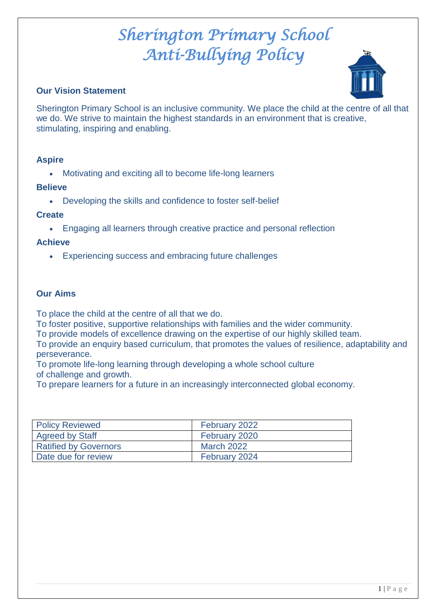## **Our Vision Statement**



Sherington Primary School is an inclusive community. We place the child at the centre of all that we do. We strive to maintain the highest standards in an environment that is creative, stimulating, inspiring and enabling.

## **Aspire**

Motivating and exciting all to become life-long learners

## **Believe**

Developing the skills and confidence to foster self-belief

## **Create**

Engaging all learners through creative practice and personal reflection

## **Achieve**

Experiencing success and embracing future challenges

## **Our Aims**

To place the child at the centre of all that we do.

To foster positive, supportive relationships with families and the wider community.

To provide models of excellence drawing on the expertise of our highly skilled team.

To provide an enquiry based curriculum, that promotes the values of resilience, adaptability and perseverance.

To promote life-long learning through developing a whole school culture of challenge and growth.

To prepare learners for a future in an increasingly interconnected global economy.

| February 2022     |
|-------------------|
| February 2020     |
| <b>March 2022</b> |
| February 2024     |
|                   |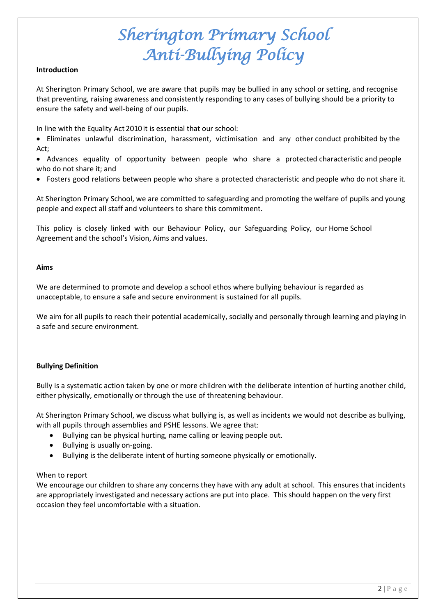#### **Introduction**

At Sherington Primary School, we are aware that pupils may be bullied in any school or setting, and recognise that preventing, raising awareness and consistently responding to any cases of bullying should be a priority to ensure the safety and well-being of our pupils.

In line with the Equality Act 2010it is essential that our school:

 Eliminates unlawful discrimination, harassment, victimisation and any other conduct prohibited by the Act;

 Advances equality of opportunity between people who share a protected characteristic and people who do not share it; and

Fosters good relations between people who share a protected characteristic and people who do not share it.

At Sherington Primary School, we are committed to safeguarding and promoting the welfare of pupils and young people and expect all staff and volunteers to share this commitment.

This policy is closely linked with our Behaviour Policy, our Safeguarding Policy, our Home School Agreement and the school's Vision, Aims and values.

#### **Aims**

We are determined to promote and develop a school ethos where bullying behaviour is regarded as unacceptable, to ensure a safe and secure environment is sustained for all pupils.

We aim for all pupils to reach their potential academically, socially and personally through learning and playing in a safe and secure environment.

### **Bullying Definition**

Bully is a systematic action taken by one or more children with the deliberate intention of hurting another child, either physically, emotionally or through the use of threatening behaviour.

At Sherington Primary School, we discuss what bullying is, as well as incidents we would not describe as bullying, with all pupils through assemblies and PSHE lessons. We agree that:

- Bullying can be physical hurting, name calling or leaving people out.
- Bullying is usually on-going.
- Bullying is the deliberate intent of hurting someone physically or emotionally.

#### When to report

We encourage our children to share any concerns they have with any adult at school. This ensures that incidents are appropriately investigated and necessary actions are put into place. This should happen on the very first occasion they feel uncomfortable with a situation.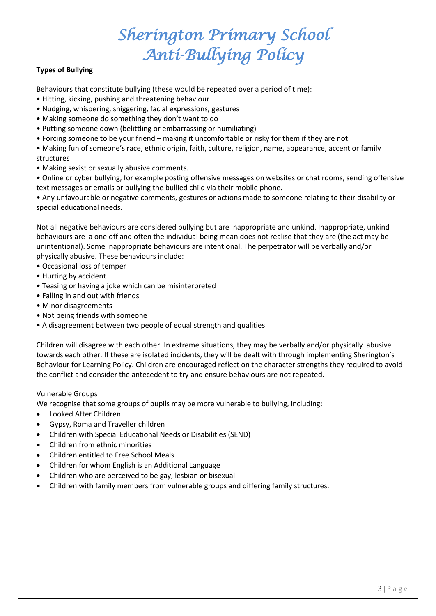### **Types of Bullying**

Behaviours that constitute bullying (these would be repeated over a period of time):

- Hitting, kicking, pushing and threatening behaviour
- Nudging, whispering, sniggering, facial expressions, gestures
- Making someone do something they don't want to do
- Putting someone down (belittling or embarrassing or humiliating)
- Forcing someone to be your friend making it uncomfortable or risky for them if they are not.

• Making fun of someone's race, ethnic origin, faith, culture, religion, name, appearance, accent or family structures

• Making sexist or sexually abusive comments.

• Online or cyber bullying, for example posting offensive messages on websites or chat rooms, sending offensive text messages or emails or bullying the bullied child via their mobile phone.

• Any unfavourable or negative comments, gestures or actions made to someone relating to their disability or special educational needs.

Not all negative behaviours are considered bullying but are inappropriate and unkind. Inappropriate, unkind behaviours are a one off and often the individual being mean does not realise that they are (the act may be unintentional). Some inappropriate behaviours are intentional. The perpetrator will be verbally and/or physically abusive. These behaviours include:

- Occasional loss of temper
- Hurting by accident
- Teasing or having a joke which can be misinterpreted
- Falling in and out with friends
- Minor disagreements
- Not being friends with someone
- A disagreement between two people of equal strength and qualities

Children will disagree with each other. In extreme situations, they may be verbally and/or physically abusive towards each other. If these are isolated incidents, they will be dealt with through implementing Sherington's Behaviour for Learning Policy. Children are encouraged reflect on the character strengths they required to avoid the conflict and consider the antecedent to try and ensure behaviours are not repeated.

#### Vulnerable Groups

We recognise that some groups of pupils may be more vulnerable to bullying, including:

- Looked After Children
- Gypsy, Roma and Traveller children
- Children with Special Educational Needs or Disabilities (SEND)
- Children from ethnic minorities
- Children entitled to Free School Meals
- Children for whom English is an Additional Language
- Children who are perceived to be gay, lesbian or bisexual
- Children with family members from vulnerable groups and differing family structures.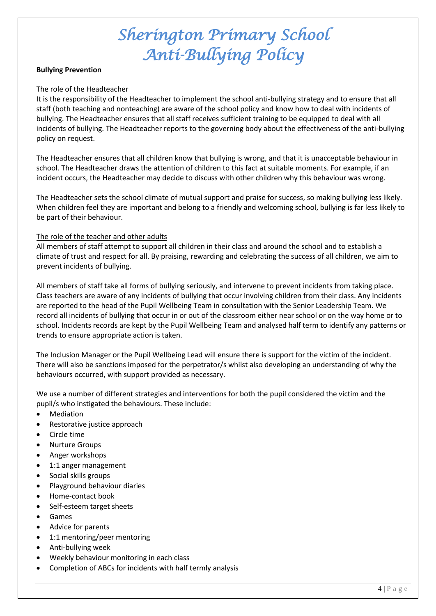#### **Bullying Prevention**

### The role of the Headteacher

It is the responsibility of the Headteacher to implement the school anti-bullying strategy and to ensure that all staff (both teaching and nonteaching) are aware of the school policy and know how to deal with incidents of bullying. The Headteacher ensures that all staff receives sufficient training to be equipped to deal with all incidents of bullying. The Headteacher reports to the governing body about the effectiveness of the anti-bullying policy on request.

The Headteacher ensures that all children know that bullying is wrong, and that it is unacceptable behaviour in school. The Headteacher draws the attention of children to this fact at suitable moments. For example, if an incident occurs, the Headteacher may decide to discuss with other children why this behaviour was wrong.

The Headteacher sets the school climate of mutual support and praise for success, so making bullying less likely. When children feel they are important and belong to a friendly and welcoming school, bullying is far less likely to be part of their behaviour.

### The role of the teacher and other adults

All members of staff attempt to support all children in their class and around the school and to establish a climate of trust and respect for all. By praising, rewarding and celebrating the success of all children, we aim to prevent incidents of bullying.

All members of staff take all forms of bullying seriously, and intervene to prevent incidents from taking place. Class teachers are aware of any incidents of bullying that occur involving children from their class. Any incidents are reported to the head of the Pupil Wellbeing Team in consultation with the Senior Leadership Team. We record all incidents of bullying that occur in or out of the classroom either near school or on the way home or to school. Incidents records are kept by the Pupil Wellbeing Team and analysed half term to identify any patterns or trends to ensure appropriate action is taken.

The Inclusion Manager or the Pupil Wellbeing Lead will ensure there is support for the victim of the incident. There will also be sanctions imposed for the perpetrator/s whilst also developing an understanding of why the behaviours occurred, with support provided as necessary.

We use a number of different strategies and interventions for both the pupil considered the victim and the pupil/s who instigated the behaviours. These include:

- Mediation
- Restorative justice approach
- Circle time
- Nurture Groups
- Anger workshops
- 1:1 anger management
- Social skills groups
- Playground behaviour diaries
- Home-contact book
- Self-esteem target sheets
- Games
- Advice for parents
- 1:1 mentoring/peer mentoring
- Anti-bullying week
- Weekly behaviour monitoring in each class
- Completion of ABCs for incidents with half termly analysis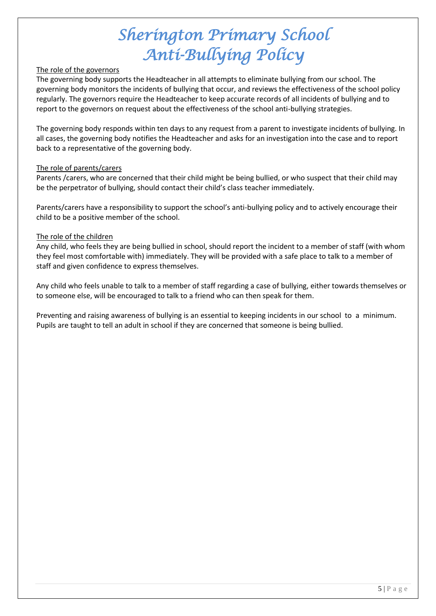### The role of the governors

The governing body supports the Headteacher in all attempts to eliminate bullying from our school. The governing body monitors the incidents of bullying that occur, and reviews the effectiveness of the school policy regularly. The governors require the Headteacher to keep accurate records of all incidents of bullying and to report to the governors on request about the effectiveness of the school anti-bullying strategies.

The governing body responds within ten days to any request from a parent to investigate incidents of bullying. In all cases, the governing body notifies the Headteacher and asks for an investigation into the case and to report back to a representative of the governing body.

### The role of parents/carers

Parents /carers, who are concerned that their child might be being bullied, or who suspect that their child may be the perpetrator of bullying, should contact their child's class teacher immediately.

Parents/carers have a responsibility to support the school's anti-bullying policy and to actively encourage their child to be a positive member of the school.

### The role of the children

Any child, who feels they are being bullied in school, should report the incident to a member of staff (with whom they feel most comfortable with) immediately. They will be provided with a safe place to talk to a member of staff and given confidence to express themselves.

Any child who feels unable to talk to a member of staff regarding a case of bullying, either towards themselves or to someone else, will be encouraged to talk to a friend who can then speak for them.

Preventing and raising awareness of bullying is an essential to keeping incidents in our school to a minimum. Pupils are taught to tell an adult in school if they are concerned that someone is being bullied.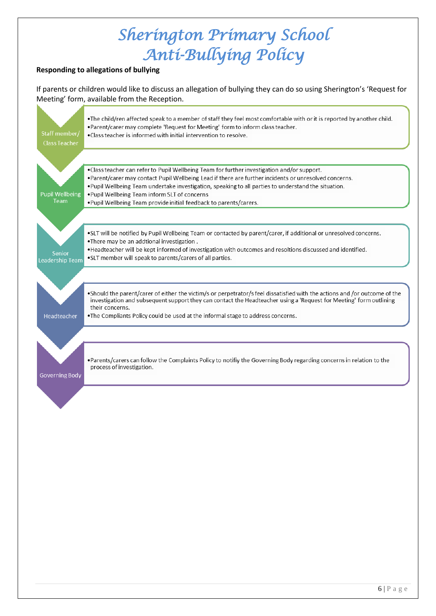### **Responding to allegations of bullying**

If parents or children would like to discuss an allegation of bullying they can do so using Sherington's 'Request for Meeting' form, available from the Reception.

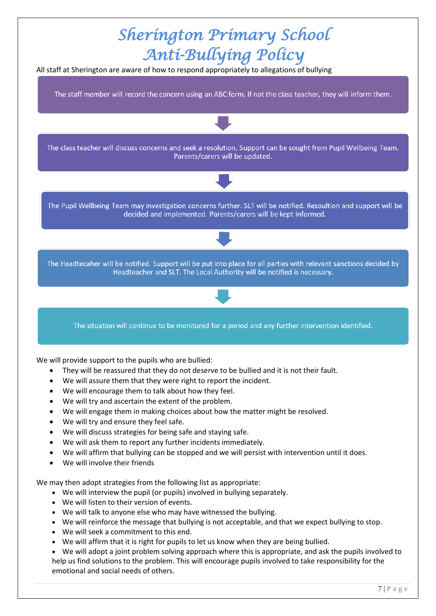

We will involve their friends

We may then adopt strategies from the following list as appropriate:

- We will interview the pupil (or pupils) involved in bullying separately.
- We will listen to their version of events.
- We will talk to anyone else who may have witnessed the bullying.
- We will reinforce the message that bullying is not acceptable, and that we expect bullying to stop.
- We will seek a commitment to this end.
- We will affirm that it is right for pupils to let us know when they are being bullied.

 We will adopt a joint problem solving approach where this is appropriate, and ask the pupils involved to help us find solutions to the problem. This will encourage pupils involved to take responsibility for the emotional and social needs of others.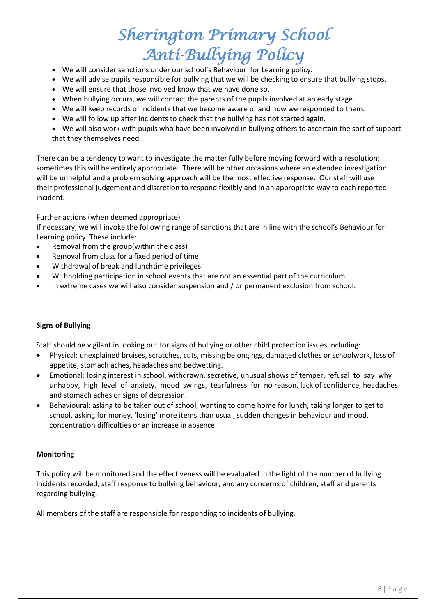- We will consider sanctions under our school's Behaviour for Learning policy.
- We will advise pupils responsible for bullying that we will be checking to ensure that bullying stops.
- We will ensure that those involved know that we have done so.
- When bullying occurs, we will contact the parents of the pupils involved at an early stage.
- We will keep records of incidents that we become aware of and how we responded to them.
- We will follow up after incidents to check that the bullying has not started again.
- We will also work with pupils who have been involved in bullying others to ascertain the sort of support that they themselves need.

There can be a tendency to want to investigate the matter fully before moving forward with a resolution; sometimes this will be entirely appropriate. There will be other occasions where an extended investigation will be unhelpful and a problem solving approach will be the most effective response. Our staff will use their professional judgement and discretion to respond flexibly and in an appropriate way to each reported incident.

### Further actions (when deemed appropriate)

If necessary, we will invoke the following range of sanctions that are in line with the school's Behaviour for Learning policy. These include:

- Removal from the group(within the class)
- Removal from class for a fixed period of time
- Withdrawal of break and lunchtime privileges
- Withholding participation in school events that are not an essential part of the curriculum.
- In extreme cases we will also consider suspension and / or permanent exclusion from school.

### **Signs of Bullying**

Staff should be vigilant in looking out for signs of bullying or other child protection issues including:

- Physical: unexplained bruises, scratches, cuts, missing belongings, damaged clothes or schoolwork, loss of appetite, stomach aches, headaches and bedwetting.
- Emotional: losing interest in school, withdrawn, secretive, unusual shows of temper, refusal to say why unhappy, high level of anxiety, mood swings, tearfulness for no reason, lack of confidence, headaches and stomach aches or signs of depression.
- Behavioural: asking to be taken out of school, wanting to come home for lunch, taking longer to get to school, asking for money, 'losing' more items than usual, sudden changes in behaviour and mood, concentration difficulties or an increase in absence.

### **Monitoring**

This policy will be monitored and the effectiveness will be evaluated in the light of the number of bullying incidents recorded, staff response to bullying behaviour, and any concerns of children, staff and parents regarding bullying.

All members of the staff are responsible for responding to incidents of bullying.